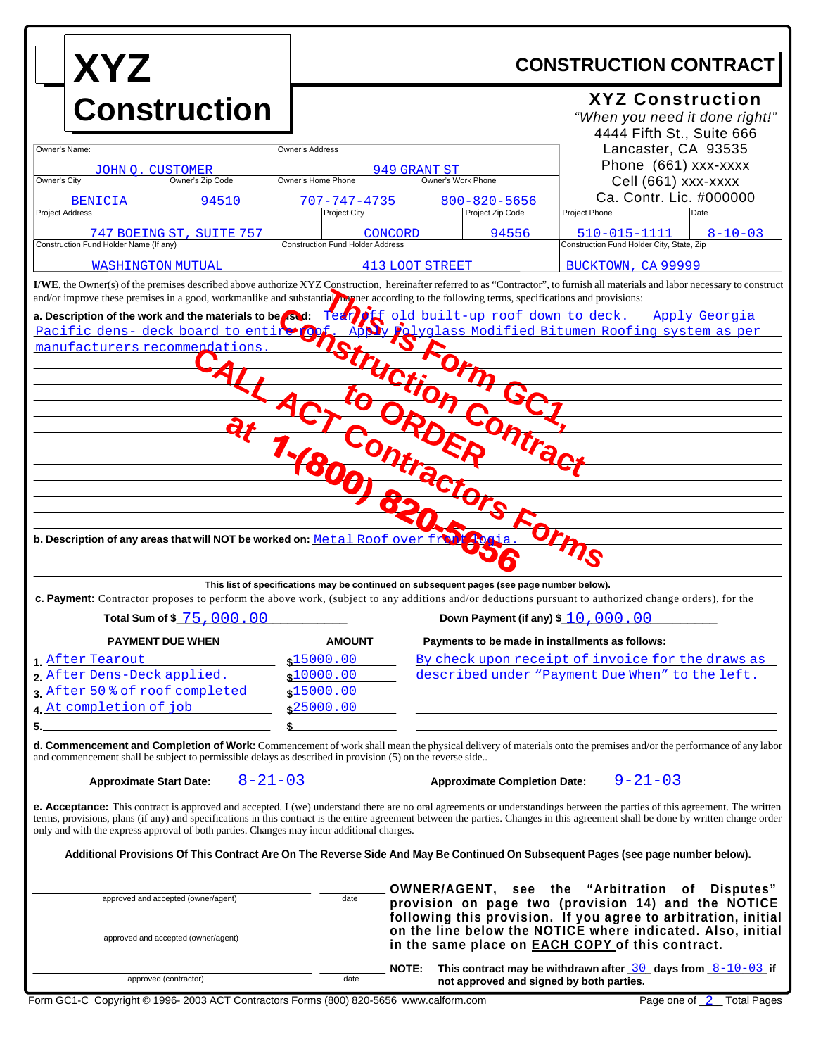| <b>XYZ</b><br><b>Construction</b>                                                                                                                                                                                                                                                                                                                                                |                 |                                                                                        |                                                                                                                                                                                                                                                                                                   |                                        |                                                                                                                                                                                                                                                                                                                                                                         |  |
|----------------------------------------------------------------------------------------------------------------------------------------------------------------------------------------------------------------------------------------------------------------------------------------------------------------------------------------------------------------------------------|-----------------|----------------------------------------------------------------------------------------|---------------------------------------------------------------------------------------------------------------------------------------------------------------------------------------------------------------------------------------------------------------------------------------------------|----------------------------------------|-------------------------------------------------------------------------------------------------------------------------------------------------------------------------------------------------------------------------------------------------------------------------------------------------------------------------------------------------------------------------|--|
|                                                                                                                                                                                                                                                                                                                                                                                  |                 |                                                                                        | <b>CONSTRUCTION CONTRACT</b>                                                                                                                                                                                                                                                                      |                                        |                                                                                                                                                                                                                                                                                                                                                                         |  |
|                                                                                                                                                                                                                                                                                                                                                                                  |                 | <b>XYZ Construction</b><br>"When you need it done right!"<br>4444 Fifth St., Suite 666 |                                                                                                                                                                                                                                                                                                   |                                        |                                                                                                                                                                                                                                                                                                                                                                         |  |
| Owner's Name:                                                                                                                                                                                                                                                                                                                                                                    | Owner's Address | Lancaster, CA 93535                                                                    |                                                                                                                                                                                                                                                                                                   |                                        |                                                                                                                                                                                                                                                                                                                                                                         |  |
| JOHN O. CUSTOMER<br>Owner's City<br>Owner's Zip Code                                                                                                                                                                                                                                                                                                                             |                 | Owner's Home Phone                                                                     | 949 GRANT ST<br>Owner's Work Phone                                                                                                                                                                                                                                                                |                                        | Phone (661) xxx-xxxx<br>Cell (661) xxx-xxxx                                                                                                                                                                                                                                                                                                                             |  |
| <b>BENICIA</b><br><b>Project Address</b>                                                                                                                                                                                                                                                                                                                                         | 94510           | 707-747-4735<br><b>Project City</b>                                                    |                                                                                                                                                                                                                                                                                                   | $800 - 820 - 5656$<br>Project Zip Code | Ca. Contr. Lic. #000000<br>Project Phone<br>Date                                                                                                                                                                                                                                                                                                                        |  |
| 747 BOEING ST, SUITE 757<br>Construction Fund Holder Name (If any)                                                                                                                                                                                                                                                                                                               |                 | <b>Construction Fund Holder Address</b>                                                | CONCORD                                                                                                                                                                                                                                                                                           | 94556                                  | 510-015-1111<br>$8 - 10 - 03$<br>Construction Fund Holder City, State, Zip                                                                                                                                                                                                                                                                                              |  |
| <b>WASHINGTON MUTUAL</b>                                                                                                                                                                                                                                                                                                                                                         |                 |                                                                                        | <b>413 LOOT STREET</b>                                                                                                                                                                                                                                                                            |                                        | BUCKTOWN, CA 99999                                                                                                                                                                                                                                                                                                                                                      |  |
| I/WE, the Owner(s) of the premises described above authorize XYZ Construction, hereinafter referred to as "Contractor", to furnish all materials and labor necessary to construct<br>and/or improve these premises in a good, workmanlike and substantial memne according to the following terms, specifications and provisions:                                                 |                 |                                                                                        |                                                                                                                                                                                                                                                                                                   |                                        |                                                                                                                                                                                                                                                                                                                                                                         |  |
| a. Description of the work and the materials to be sad: Team of f old built-up roof down to deck. Apply Georgia<br>Alyglass Modified Bitumen Roofing system as per<br>Pacific dens- deck board to entire Of<br>Istruction<br>manufacturers recommendations<br>Form GC <sub>7</sub><br>$t_{\mathbf{O}_{\mathcal{J}}}$<br>ORA<br>htrac<br>Contractors Forms<br>$\ddot{\mathbf{e}}$ |                 |                                                                                        |                                                                                                                                                                                                                                                                                                   |                                        |                                                                                                                                                                                                                                                                                                                                                                         |  |
| b. Description of any areas that will NOT be worked on: Metal Roof over<br>This list of specifications may be continued on subsequent pages (see page number below).<br>c. Payment: Contractor proposes to perform the above work, (subject to any additions and/or deductions pursuant to authorized change orders), for the<br>Down Payment (if any) \$ 10, 000, 00            |                 |                                                                                        |                                                                                                                                                                                                                                                                                                   |                                        |                                                                                                                                                                                                                                                                                                                                                                         |  |
| Total Sum of \$ 75,000,00<br><b>PAYMENT DUE WHEN</b>                                                                                                                                                                                                                                                                                                                             |                 |                                                                                        | <b>AMOUNT</b><br>Payments to be made in installments as follows:                                                                                                                                                                                                                                  |                                        |                                                                                                                                                                                                                                                                                                                                                                         |  |
| 1 After Tearout<br>2. After Dens-Deck applied.<br>3 After 50 % of roof completed<br>4. At completion of job                                                                                                                                                                                                                                                                      |                 | \$15000.00<br>\$10000.00<br>\$15000.00<br>\$25000.00                                   |                                                                                                                                                                                                                                                                                                   |                                        | By check upon receipt of invoice for the draws as<br>described under "Payment Due When" to the left.                                                                                                                                                                                                                                                                    |  |
| 5.                                                                                                                                                                                                                                                                                                                                                                               |                 |                                                                                        |                                                                                                                                                                                                                                                                                                   |                                        | <b>d. Commencement and Completion of Work:</b> Commencement of work shall mean the physical delivery of materials onto the premises and/or the performance of any labor                                                                                                                                                                                                 |  |
| and commencement shall be subject to permissible delays as described in provision (5) on the reverse side                                                                                                                                                                                                                                                                        |                 |                                                                                        |                                                                                                                                                                                                                                                                                                   |                                        |                                                                                                                                                                                                                                                                                                                                                                         |  |
| Approximate Completion Date $9-21-03$<br>Approximate Start Date: $8-21-03$                                                                                                                                                                                                                                                                                                       |                 |                                                                                        |                                                                                                                                                                                                                                                                                                   |                                        |                                                                                                                                                                                                                                                                                                                                                                         |  |
| only and with the express approval of both parties. Changes may incur additional charges.                                                                                                                                                                                                                                                                                        |                 |                                                                                        |                                                                                                                                                                                                                                                                                                   |                                        | <b>e. Acceptance:</b> This contract is approved and accepted. I (we) understand there are no oral agreements or understandings between the parties of this agreement. The written<br>terms, provisions, plans (if any) and specifications in this contract is the entire agreement between the parties. Changes in this agreement shall be done by written change order |  |
| Additional Provisions Of This Contract Are On The Reverse Side And May Be Continued On Subsequent Pages (see page number below).                                                                                                                                                                                                                                                 |                 |                                                                                        |                                                                                                                                                                                                                                                                                                   |                                        |                                                                                                                                                                                                                                                                                                                                                                         |  |
| approved and accepted (owner/agent)<br>approved and accepted (owner/agent)                                                                                                                                                                                                                                                                                                       |                 | date                                                                                   | OWNER/AGENT, see the "Arbitration of Disputes"<br>provision on page two (provision 14) and the NOTICE<br>following this provision. If you agree to arbitration, initial<br>on the line below the NOTICE where indicated. Also, initial<br>in the same place on <b>EACH COPY</b> of this contract. |                                        |                                                                                                                                                                                                                                                                                                                                                                         |  |
| approved (contractor)                                                                                                                                                                                                                                                                                                                                                            |                 | date                                                                                   | <b>NOTE:</b>                                                                                                                                                                                                                                                                                      |                                        | This contract may be withdrawn after $\frac{30}{2}$ days from $\frac{8-10-03}{2}$ if<br>not approved and signed by both parties.                                                                                                                                                                                                                                        |  |